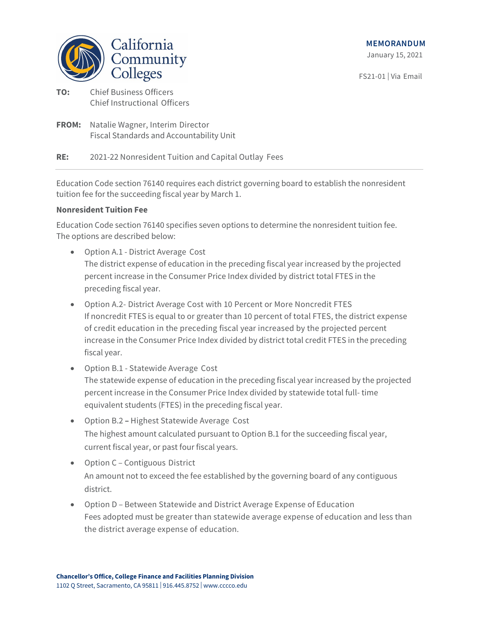

FS21-01 | Via Email

- **TO:** Chief Business Officers Chief Instructional Officers
- **FROM:** Natalie Wagner, Interim Director Fiscal Standards and Accountability Unit

**RE:** 2021-22 Nonresident Tuition and Capital Outlay Fees

Education Code section 76140 requires each district governing board to establish the nonresident tuition fee for the succeeding fiscal year by March 1.

# **Nonresident Tuition Fee**

Education Code section 76140 specifies seven options to determine the nonresident tuition fee. The options are described below:

- Option A.1 District Average Cost The district expense of education in the preceding fiscal year increased by the projected percent increase in the Consumer Price Index divided by district total FTES in the preceding fiscal year.
- Option A.2- District Average Cost with 10 Percent or More Noncredit FTES If noncredit FTES is equal to or greater than 10 percent of total FTES, the district expense of credit education in the preceding fiscal year increased by the projected percent increase in the Consumer Price Index divided by district total credit FTES in the preceding fiscal year.
- Option B.1 Statewide Average Cost The statewide expense of education in the preceding fiscal year increased by the projected percent increase in the Consumer Price Index divided by statewide total full- time equivalent students (FTES) in the preceding fiscal year.
- Option B.2 Highest Statewide Average Cost The highest amount calculated pursuant to Option B.1 for the succeeding fiscal year, current fiscal year, or past four fiscal years.
- Option C Contiguous District An amount not to exceed the fee established by the governing board of any contiguous district.
- Option D Between Statewide and District Average Expense of Education Fees adopted must be greater than statewide average expense of education and less than the district average expense of education.